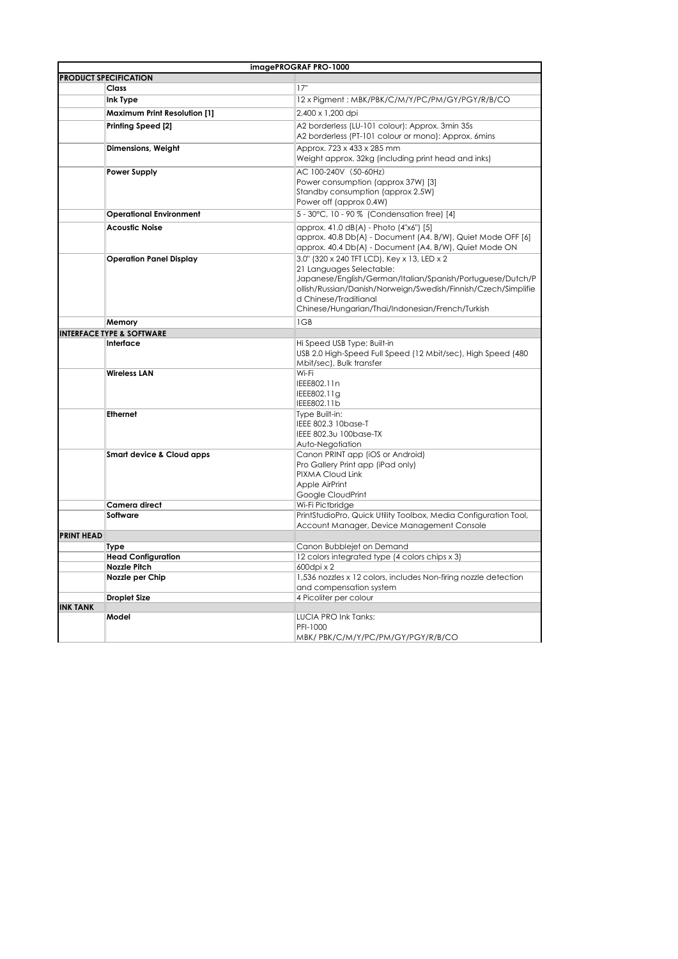| imagePROGRAF PRO-1000        |                                      |                                                                                                                                                                                                                                                                                      |  |
|------------------------------|--------------------------------------|--------------------------------------------------------------------------------------------------------------------------------------------------------------------------------------------------------------------------------------------------------------------------------------|--|
| <b>PRODUCT SPECIFICATION</b> |                                      |                                                                                                                                                                                                                                                                                      |  |
|                              | <b>Class</b>                         | 17"                                                                                                                                                                                                                                                                                  |  |
|                              | Ink Type                             | 12 x Pigment: MBK/PBK/C/M/Y/PC/PM/GY/PGY/R/B/CO                                                                                                                                                                                                                                      |  |
|                              | <b>Maximum Print Resolution [1]</b>  | 2,400 x 1,200 dpi                                                                                                                                                                                                                                                                    |  |
|                              | Printing Speed [2]                   | A2 borderless (LU-101 colour): Approx. 3min 35s                                                                                                                                                                                                                                      |  |
|                              |                                      | A2 borderless (PT-101 colour or mono): Approx. 6mins                                                                                                                                                                                                                                 |  |
|                              | Dimensions, Weight                   | Approx, 723 x 433 x 285 mm<br>Weight approx. 32kg (including print head and inks)                                                                                                                                                                                                    |  |
|                              | <b>Power Supply</b>                  | AC 100-240V (50-60Hz)<br>Power consumption (approx 37W) [3]<br>Standby consumption (approx 2.5W)<br>Power off (approx 0.4W)                                                                                                                                                          |  |
|                              | <b>Operational Environment</b>       | 5 - 30°C, 10 - 90 % (Condensation free) [4]                                                                                                                                                                                                                                          |  |
|                              | <b>Acoustic Noise</b>                | approx. 41.0 dB(A) - Photo (4"x6") [5]<br>approx. 40.8 Db(A) - Document (A4. B/W), Quiet Mode OFF [6]<br>approx. 40.4 Db(A) - Document (A4. B/W), Quiet Mode ON                                                                                                                      |  |
|                              | <b>Operation Panel Display</b>       | 3.0" (320 x 240 TFT LCD), Key x 13, LED x 2<br>21 Languages Selectable:<br>Japanese/English/German/Italian/Spanish/Portuguese/Dutch/P<br>ollish/Russian/Danish/Norweign/Swedish/Finnish/Czech/Simplifie<br>d Chinese/Traditianal<br>Chinese/Hungarian/Thai/Indonesian/French/Turkish |  |
|                              | Memory                               | 1GB                                                                                                                                                                                                                                                                                  |  |
|                              | <b>INTERFACE TYPE &amp; SOFTWARE</b> |                                                                                                                                                                                                                                                                                      |  |
|                              | Interface                            | Hi Speed USB Type: Built-in<br>USB 2.0 High-Speed Full Speed (12 Mbit/sec), High Speed (480<br>Mbit/sec), Bulk transfer                                                                                                                                                              |  |
|                              | <b>Wireless LAN</b>                  | Wi-Fi<br>IEEE802.11n<br>IEEE802.11g<br>IEEE802.11b                                                                                                                                                                                                                                   |  |
|                              | <b>Ethernet</b>                      | Type Built-in:<br>IEEE 802.3 10base-T<br>IEEE 802.3u 100base-TX<br>Auto-Negotiation                                                                                                                                                                                                  |  |
|                              | Smart device & Cloud apps            | Canon PRINT app (iOS or Android)<br>Pro Gallery Print app (iPad only)<br>PIXMA Cloud Link<br>Apple AirPrint<br>Google CloudPrint                                                                                                                                                     |  |
|                              | Camera direct                        | Wi-Fi Pictbridge                                                                                                                                                                                                                                                                     |  |
|                              | Software                             | PrintStudioPro, Quick Utility Toolbox, Media Configuration Tool,<br>Account Manager, Device Management Console                                                                                                                                                                       |  |
| <b>PRINT HEAD</b>            |                                      |                                                                                                                                                                                                                                                                                      |  |
|                              | <b>Type</b>                          | Canon Bubblejet on Demand                                                                                                                                                                                                                                                            |  |
|                              | <b>Head Configuration</b>            | 12 colors integrated type (4 colors chips x 3)                                                                                                                                                                                                                                       |  |
|                              | <b>Nozzle Pitch</b>                  | 600dpi x 2                                                                                                                                                                                                                                                                           |  |
|                              | Nozzle per Chip                      | 1,536 nozzles x 12 colors, includes Non-firing nozzle detection<br>and compensation system                                                                                                                                                                                           |  |
|                              | <b>Droplet Size</b>                  | 4 Picoliter per colour                                                                                                                                                                                                                                                               |  |
| <b>INK TANK</b>              |                                      |                                                                                                                                                                                                                                                                                      |  |
|                              | Model                                | LUCIA PRO Ink Tanks:<br>PFI-1000<br>MBK/PBK/C/M/Y/PC/PM/GY/PGY/R/B/CO                                                                                                                                                                                                                |  |